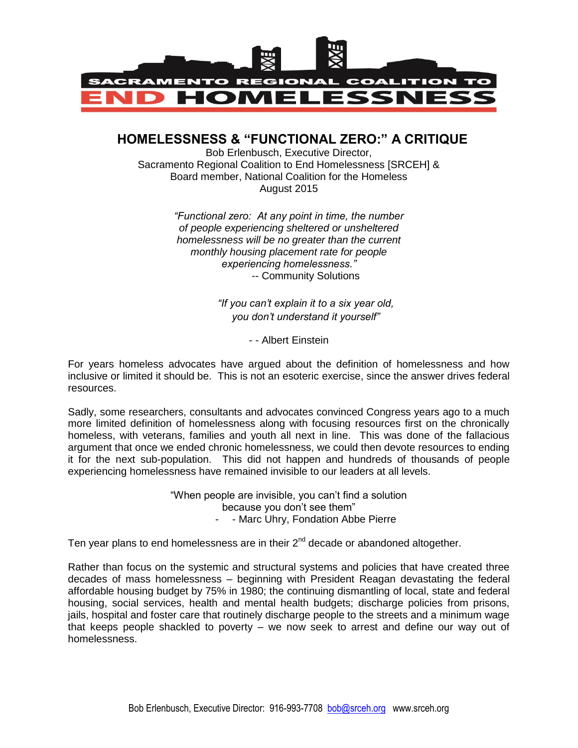

## **HOMELESSNESS & "FUNCTIONAL ZERO:" A CRITIQUE**

Bob Erlenbusch, Executive Director, Sacramento Regional Coalition to End Homelessness [SRCEH] & Board member, National Coalition for the Homeless August 2015

> *"Functional zero: At any point in time, the number of people experiencing sheltered or unsheltered homelessness will be no greater than the current monthly housing placement rate for people experiencing homelessness."* -- Community Solutions

> > *"If you can't explain it to a six year old, you don't understand it yourself"*

> > > - - Albert Einstein

For years homeless advocates have argued about the definition of homelessness and how inclusive or limited it should be. This is not an esoteric exercise, since the answer drives federal resources.

Sadly, some researchers, consultants and advocates convinced Congress years ago to a much more limited definition of homelessness along with focusing resources first on the chronically homeless, with veterans, families and youth all next in line. This was done of the fallacious argument that once we ended chronic homelessness, we could then devote resources to ending it for the next sub-population. This did not happen and hundreds of thousands of people experiencing homelessness have remained invisible to our leaders at all levels.

> "When people are invisible, you can't find a solution because you don't see them" - - Marc Uhry, Fondation Abbe Pierre

Ten year plans to end homelessness are in their  $2^{nd}$  decade or abandoned altogether.

Rather than focus on the systemic and structural systems and policies that have created three decades of mass homelessness – beginning with President Reagan devastating the federal affordable housing budget by 75% in 1980; the continuing dismantling of local, state and federal housing, social services, health and mental health budgets; discharge policies from prisons, jails, hospital and foster care that routinely discharge people to the streets and a minimum wage that keeps people shackled to poverty – we now seek to arrest and define our way out of homelessness.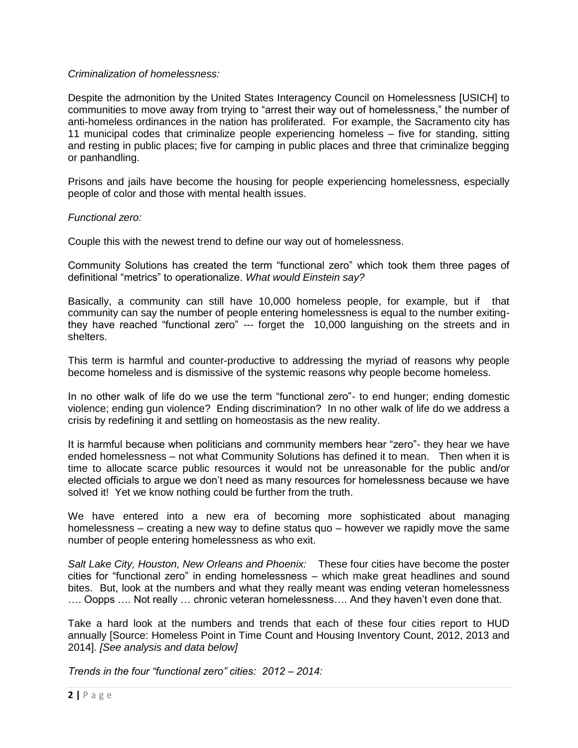#### *Criminalization of homelessness:*

Despite the admonition by the United States Interagency Council on Homelessness [USICH] to communities to move away from trying to "arrest their way out of homelessness," the number of anti-homeless ordinances in the nation has proliferated. For example, the Sacramento city has 11 municipal codes that criminalize people experiencing homeless – five for standing, sitting and resting in public places; five for camping in public places and three that criminalize begging or panhandling.

Prisons and jails have become the housing for people experiencing homelessness, especially people of color and those with mental health issues.

#### *Functional zero:*

Couple this with the newest trend to define our way out of homelessness.

Community Solutions has created the term "functional zero" which took them three pages of definitional "metrics" to operationalize. *What would Einstein say?*

Basically, a community can still have 10,000 homeless people, for example, but if that community can say the number of people entering homelessness is equal to the number exitingthey have reached "functional zero" --- forget the 10,000 languishing on the streets and in shelters.

This term is harmful and counter-productive to addressing the myriad of reasons why people become homeless and is dismissive of the systemic reasons why people become homeless.

In no other walk of life do we use the term "functional zero"- to end hunger; ending domestic violence; ending gun violence? Ending discrimination? In no other walk of life do we address a crisis by redefining it and settling on homeostasis as the new reality.

It is harmful because when politicians and community members hear "zero"- they hear we have ended homelessness – not what Community Solutions has defined it to mean. Then when it is time to allocate scarce public resources it would not be unreasonable for the public and/or elected officials to argue we don't need as many resources for homelessness because we have solved it! Yet we know nothing could be further from the truth.

We have entered into a new era of becoming more sophisticated about managing homelessness – creating a new way to define status quo – however we rapidly move the same number of people entering homelessness as who exit.

*Salt Lake City, Houston, New Orleans and Phoenix:* These four cities have become the poster cities for "functional zero" in ending homelessness – which make great headlines and sound bites. But, look at the numbers and what they really meant was ending veteran homelessness …. Oopps …. Not really … chronic veteran homelessness…. And they haven't even done that.

Take a hard look at the numbers and trends that each of these four cities report to HUD annually [Source: Homeless Point in Time Count and Housing Inventory Count, 2012, 2013 and 2014]. *[See analysis and data below]*

*Trends in the four "functional zero" cities: 2012 – 2014:*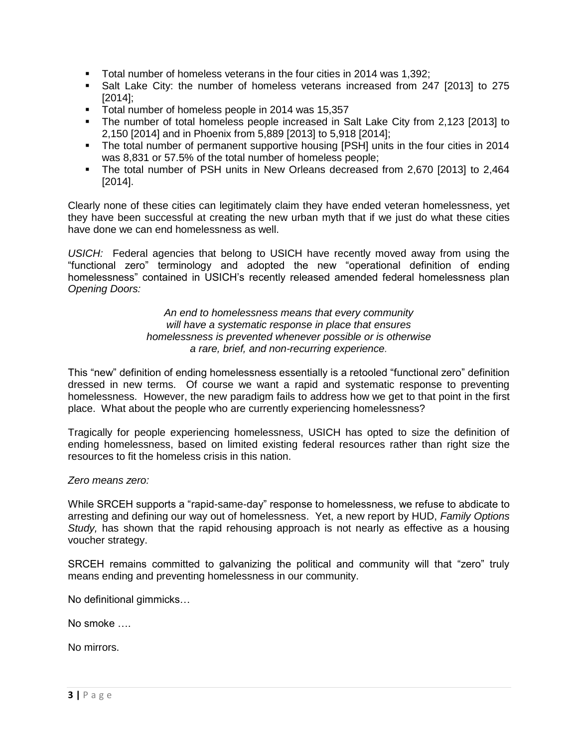- Total number of homeless veterans in the four cities in 2014 was 1,392;
- Salt Lake City: the number of homeless veterans increased from 247 [2013] to 275 [2014];
- Total number of homeless people in 2014 was 15,357
- The number of total homeless people increased in Salt Lake City from 2,123 [2013] to 2,150 [2014] and in Phoenix from 5,889 [2013] to 5,918 [2014];
- The total number of permanent supportive housing [PSH] units in the four cities in 2014 was 8,831 or 57.5% of the total number of homeless people;
- The total number of PSH units in New Orleans decreased from 2,670 [2013] to 2,464 [2014].

Clearly none of these cities can legitimately claim they have ended veteran homelessness, yet they have been successful at creating the new urban myth that if we just do what these cities have done we can end homelessness as well.

*USICH:* Federal agencies that belong to USICH have recently moved away from using the "functional zero" terminology and adopted the new "operational definition of ending homelessness" contained in USICH's recently released amended federal homelessness plan *Opening Doors:*

> *An end to homelessness means that every community will have a systematic response in place that ensures homelessness is prevented whenever possible or is otherwise a rare, brief, and non-recurring experience.*

This "new" definition of ending homelessness essentially is a retooled "functional zero" definition dressed in new terms. Of course we want a rapid and systematic response to preventing homelessness. However, the new paradigm fails to address how we get to that point in the first place. What about the people who are currently experiencing homelessness?

Tragically for people experiencing homelessness, USICH has opted to size the definition of ending homelessness, based on limited existing federal resources rather than right size the resources to fit the homeless crisis in this nation.

### *Zero means zero:*

While SRCEH supports a "rapid-same-day" response to homelessness, we refuse to abdicate to arresting and defining our way out of homelessness. Yet, a new report by HUD, *Family Options Study,* has shown that the rapid rehousing approach is not nearly as effective as a housing voucher strategy.

SRCEH remains committed to galvanizing the political and community will that "zero" truly means ending and preventing homelessness in our community.

No definitional gimmicks…

No smoke ….

No mirrors.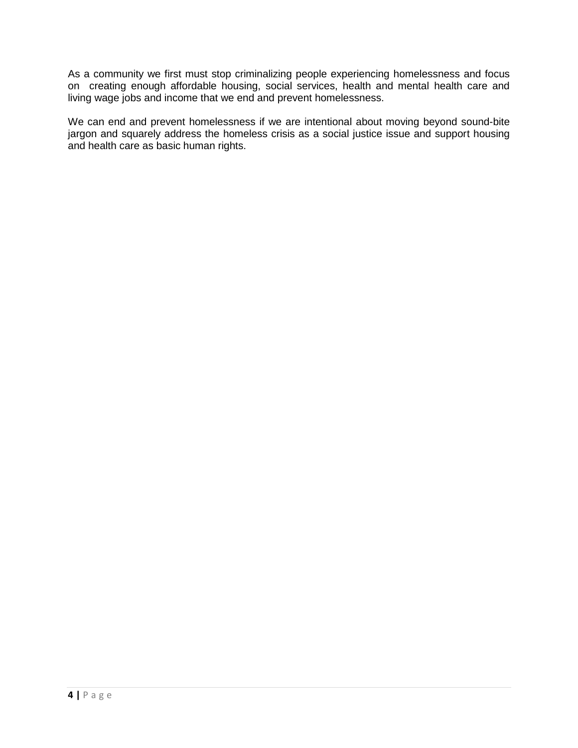As a community we first must stop criminalizing people experiencing homelessness and focus on creating enough affordable housing, social services, health and mental health care and living wage jobs and income that we end and prevent homelessness.

We can end and prevent homelessness if we are intentional about moving beyond sound-bite jargon and squarely address the homeless crisis as a social justice issue and support housing and health care as basic human rights.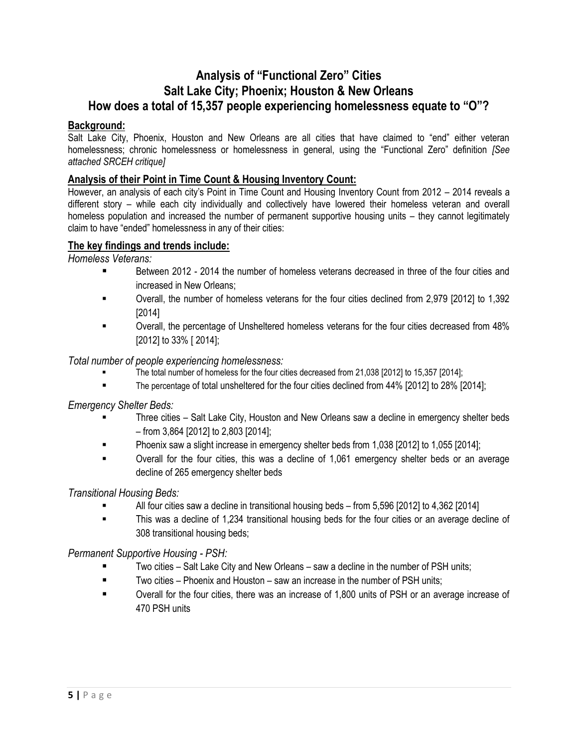## **Analysis of "Functional Zero" Cities Salt Lake City; Phoenix; Houston & New Orleans How does a total of 15,357 people experiencing homelessness equate to "O"?**

### **Background:**

Salt Lake City, Phoenix, Houston and New Orleans are all cities that have claimed to "end" either veteran homelessness; chronic homelessness or homelessness in general, using the "Functional Zero" definition *[See attached SRCEH critique]*

### **Analysis of their Point in Time Count & Housing Inventory Count:**

However, an analysis of each city's Point in Time Count and Housing Inventory Count from 2012 – 2014 reveals a different story – while each city individually and collectively have lowered their homeless veteran and overall homeless population and increased the number of permanent supportive housing units – they cannot legitimately claim to have "ended" homelessness in any of their cities:

### **The key findings and trends include:**

*Homeless Veterans:*

- Between 2012 2014 the number of homeless veterans decreased in three of the four cities and increased in New Orleans;
- Overall, the number of homeless veterans for the four cities declined from 2,979 [2012] to 1,392 [2014]
- Overall, the percentage of Unsheltered homeless veterans for the four cities decreased from 48% [2012] to 33% [ 2014];

*Total number of people experiencing homelessness:*

- The total number of homeless for the four cities decreased from 21,038 [2012] to 15,357 [2014];
- The percentage of total unsheltered for the four cities declined from 44% [2012] to 28% [2014];

*Emergency Shelter Beds:*

- Three cities Salt Lake City, Houston and New Orleans saw a decline in emergency shelter beds – from 3,864 [2012] to 2,803 [2014];
- Phoenix saw a slight increase in emergency shelter beds from 1,038 [2012] to 1,055 [2014];
- Overall for the four cities, this was a decline of 1,061 emergency shelter beds or an average decline of 265 emergency shelter beds

*Transitional Housing Beds:*

- All four cities saw a decline in transitional housing beds from 5,596 [2012] to 4,362 [2014]
- This was a decline of 1,234 transitional housing beds for the four cities or an average decline of 308 transitional housing beds;

*Permanent Supportive Housing - PSH:*

- Two cities Salt Lake City and New Orleans saw a decline in the number of PSH units;
- $\blacksquare$  Two cities Phoenix and Houston saw an increase in the number of PSH units:
- Overall for the four cities, there was an increase of 1,800 units of PSH or an average increase of 470 PSH units